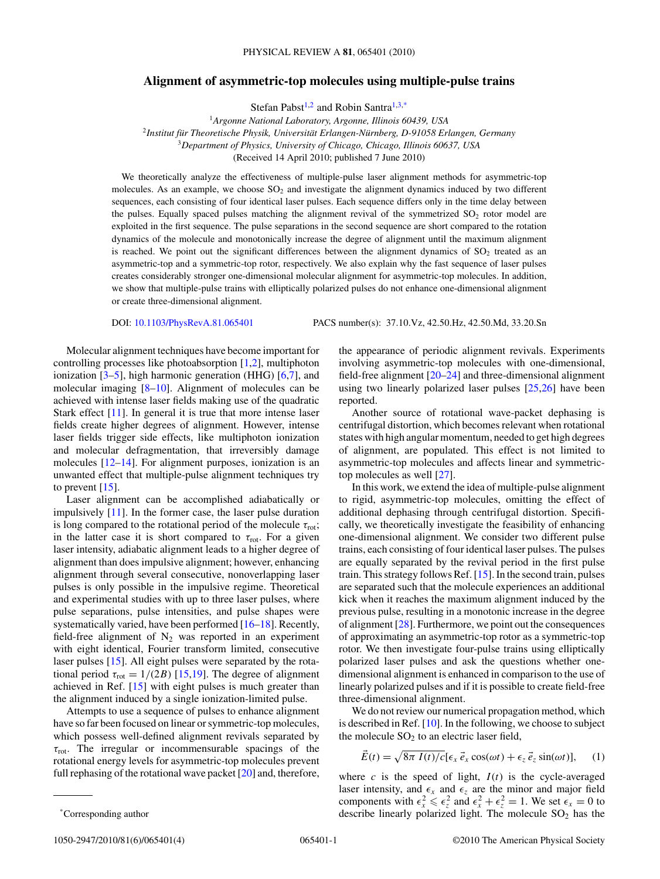## **Alignment of asymmetric-top molecules using multiple-pulse trains**

Stefan Pabst<sup>1,2</sup> and Robin Santra<sup>1,3,\*</sup>

<sup>1</sup>*Argonne National Laboratory, Argonne, Illinois 60439, USA* <sup>2</sup> Institut für Theoretische Physik, Universität Erlangen-Nürnberg, D-91058 Erlangen, Germany <sup>3</sup>*Department of Physics, University of Chicago, Chicago, Illinois 60637, USA* (Received 14 April 2010; published 7 June 2010)

We theoretically analyze the effectiveness of multiple-pulse laser alignment methods for asymmetric-top molecules. As an example, we choose  $SO<sub>2</sub>$  and investigate the alignment dynamics induced by two different sequences, each consisting of four identical laser pulses. Each sequence differs only in the time delay between the pulses. Equally spaced pulses matching the alignment revival of the symmetrized  $SO_2$  rotor model are exploited in the first sequence. The pulse separations in the second sequence are short compared to the rotation dynamics of the molecule and monotonically increase the degree of alignment until the maximum alignment is reached. We point out the significant differences between the alignment dynamics of  $SO<sub>2</sub>$  treated as an asymmetric-top and a symmetric-top rotor, respectively. We also explain why the fast sequence of laser pulses creates considerably stronger one-dimensional molecular alignment for asymmetric-top molecules. In addition, we show that multiple-pulse trains with elliptically polarized pulses do not enhance one-dimensional alignment or create three-dimensional alignment.

DOI: [10.1103/PhysRevA.81.065401](http://dx.doi.org/10.1103/PhysRevA.81.065401) PACS number(s): 37*.*10*.*Vz, 42*.*50*.*Hz, 42*.*50*.*Md, 33*.*20*.*Sn

Molecular alignment techniques have become important for controlling processes like photoabsorption [\[1,2\]](#page-2-0), multiphoton ionization [\[3–5\]](#page-3-0), high harmonic generation (HHG) [\[6,7\]](#page-3-0), and molecular imaging [\[8–10\]](#page-3-0). Alignment of molecules can be achieved with intense laser fields making use of the quadratic Stark effect [\[11\]](#page-3-0). In general it is true that more intense laser fields create higher degrees of alignment. However, intense laser fields trigger side effects, like multiphoton ionization and molecular defragmentation, that irreversibly damage molecules [\[12–14\]](#page-3-0). For alignment purposes, ionization is an unwanted effect that multiple-pulse alignment techniques try to prevent [\[15\]](#page-3-0).

Laser alignment can be accomplished adiabatically or impulsively [\[11\]](#page-3-0). In the former case, the laser pulse duration is long compared to the rotational period of the molecule  $\tau_{\text{rot}}$ ; in the latter case it is short compared to  $\tau_{\text{rot}}$ . For a given laser intensity, adiabatic alignment leads to a higher degree of alignment than does impulsive alignment; however, enhancing alignment through several consecutive, nonoverlapping laser pulses is only possible in the impulsive regime. Theoretical and experimental studies with up to three laser pulses, where pulse separations, pulse intensities, and pulse shapes were systematically varied, have been performed [\[16–18\]](#page-3-0). Recently, field-free alignment of  $N_2$  was reported in an experiment with eight identical, Fourier transform limited, consecutive laser pulses [\[15\]](#page-3-0). All eight pulses were separated by the rotational period  $\tau_{\text{rot}} = 1/(2B)$  [\[15,19\]](#page-3-0). The degree of alignment achieved in Ref. [\[15\]](#page-3-0) with eight pulses is much greater than the alignment induced by a single ionization-limited pulse.

Attempts to use a sequence of pulses to enhance alignment have so far been focused on linear or symmetric-top molecules, which possess well-defined alignment revivals separated by *τ*rot. The irregular or incommensurable spacings of the rotational energy levels for asymmetric-top molecules prevent full rephasing of the rotational wave packet [\[20\]](#page-3-0) and, therefore,

the appearance of periodic alignment revivals. Experiments involving asymmetric-top molecules with one-dimensional, field-free alignment [\[20–24\]](#page-3-0) and three-dimensional alignment using two linearly polarized laser pulses [\[25,26\]](#page-3-0) have been reported.

Another source of rotational wave-packet dephasing is centrifugal distortion, which becomes relevant when rotational states with high angular momentum, needed to get high degrees of alignment, are populated. This effect is not limited to asymmetric-top molecules and affects linear and symmetrictop molecules as well [\[27\]](#page-3-0).

In this work, we extend the idea of multiple-pulse alignment to rigid, asymmetric-top molecules, omitting the effect of additional dephasing through centrifugal distortion. Specifically, we theoretically investigate the feasibility of enhancing one-dimensional alignment. We consider two different pulse trains, each consisting of four identical laser pulses. The pulses are equally separated by the revival period in the first pulse train. This strategy follows Ref. [\[15\]](#page-3-0). In the second train, pulses are separated such that the molecule experiences an additional kick when it reaches the maximum alignment induced by the previous pulse, resulting in a monotonic increase in the degree of alignment [\[28\]](#page-3-0). Furthermore, we point out the consequences of approximating an asymmetric-top rotor as a symmetric-top rotor. We then investigate four-pulse trains using elliptically polarized laser pulses and ask the questions whether onedimensional alignment is enhanced in comparison to the use of linearly polarized pulses and if it is possible to create field-free three-dimensional alignment.

We do not review our numerical propagation method, which is described in Ref. [\[10\]](#page-3-0). In the following, we choose to subject the molecule  $SO<sub>2</sub>$  to an electric laser field,

$$
\vec{E}(t) = \sqrt{8\pi I(t)/c} [\epsilon_x \vec{e}_x \cos(\omega t) + \epsilon_z \vec{e}_z \sin(\omega t)], \quad (1)
$$

where  $c$  is the speed of light,  $I(t)$  is the cycle-averaged laser intensity, and  $\epsilon_x$  and  $\epsilon_z$  are the minor and major field components with  $\epsilon_x^2 \leq \epsilon_z^2$  and  $\epsilon_x^2 + \epsilon_z^2 = 1$ . We set  $\epsilon_x = 0$  to describe linearly polarized light. The molecule  $SO_2$  has the

<sup>\*</sup>Corresponding author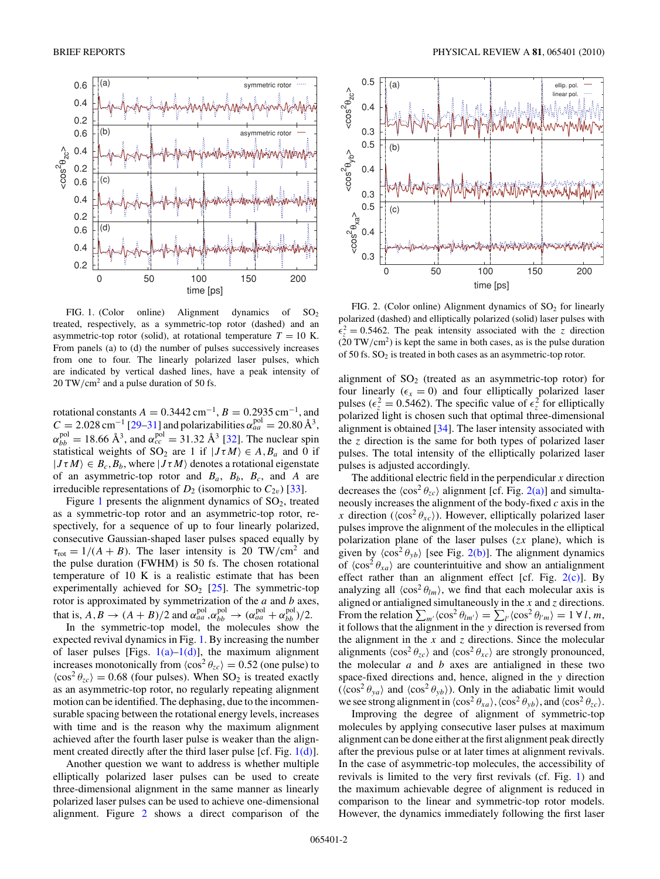<span id="page-1-0"></span>

FIG. 1. (Color online) Alignment dynamics of  $SO_2$ treated, respectively, as a symmetric-top rotor (dashed) and an asymmetric-top rotor (solid), at rotational temperature  $T = 10$  K. From panels (a) to (d) the number of pulses successively increases from one to four. The linearly polarized laser pulses, which are indicated by vertical dashed lines, have a peak intensity of 20 TW*/*cm2 and a pulse duration of 50 fs.

rotational constants  $A = 0.3442$  cm<sup>-1</sup>,  $B = 0.2935$  cm<sup>-1</sup>, and  $C = 2.028 \text{ cm}^{-1}$  [\[29–31\]](#page-3-0) and polarizabilities  $\alpha_{aa}^{\text{pol}} = 20.80 \text{ Å}^3$ ,  $\alpha_{bb}^{\text{pol}} = 18.66 \text{ Å}^3$ , and  $\alpha_{cc}^{\text{pol}} = 31.32 \text{ Å}^3$  [\[32\]](#page-3-0). The nuclear spin statistical weights of  $SO_2$  are 1 if  $|J\tau M\rangle \in A$ ,  $B_a$  and 0 if  $|J\tau M\rangle \in B_c, B_b$ , where  $|J\tau M\rangle$  denotes a rotational eigenstate of an asymmetric-top rotor and  $B_a$ ,  $B_b$ ,  $B_c$ , and A are irreducible representations of  $D_2$  (isomorphic to  $C_{2v}$ ) [\[33\]](#page-3-0).

Figure 1 presents the alignment dynamics of  $SO<sub>2</sub>$ , treated as a symmetric-top rotor and an asymmetric-top rotor, respectively, for a sequence of up to four linearly polarized, consecutive Gaussian-shaped laser pulses spaced equally by  $\tau_{\text{rot}} = 1/(A + B)$ . The laser intensity is 20 TW/cm<sup>2</sup> and the pulse duration (FWHM) is 50 fs. The chosen rotational temperature of 10 K is a realistic estimate that has been experimentally achieved for  $SO_2$  [\[25\]](#page-3-0). The symmetric-top rotor is approximated by symmetrization of the *a* and *b* axes, that is,  $A, B \rightarrow (A + B)/2$  and  $\alpha_{aa}^{\text{pol}}, \alpha_{bb}^{\text{pol}} \rightarrow (\alpha_{aa}^{\text{pol}} + \alpha_{bb}^{\text{pol}})/2$ .

In the symmetric-top model, the molecules show the expected revival dynamics in Fig. 1. By increasing the number of laser pulses [Figs.  $1(a)$ – $1(d)$ ], the maximum alignment increases monotonically from  $\langle \cos^2 \theta_{zc} \rangle = 0.52$  (one pulse) to  $\langle \cos^2 \theta_{zc} \rangle = 0.68$  (four pulses). When SO<sub>2</sub> is treated exactly as an asymmetric-top rotor, no regularly repeating alignment motion can be identified. The dephasing, due to the incommensurable spacing between the rotational energy levels, increases with time and is the reason why the maximum alignment achieved after the fourth laser pulse is weaker than the alignment created directly after the third laser pulse [cf. Fig. 1(d)].

Another question we want to address is whether multiple elliptically polarized laser pulses can be used to create three-dimensional alignment in the same manner as linearly polarized laser pulses can be used to achieve one-dimensional alignment. Figure 2 shows a direct comparison of the



FIG. 2. (Color online) Alignment dynamics of  $SO<sub>2</sub>$  for linearly polarized (dashed) and elliptically polarized (solid) laser pulses with  $\epsilon_z^2 = 0.5462$ . The peak intensity associated with the *z* direction (20 TW*/*cm2) is kept the same in both cases, as is the pulse duration of 50 fs. SO2 is treated in both cases as an asymmetric-top rotor.

alignment of  $SO<sub>2</sub>$  (treated as an asymmetric-top rotor) for four linearly  $(\epsilon_x = 0)$  and four elliptically polarized laser pulses ( $\epsilon_z^2 = 0.5462$ ). The specific value of  $\epsilon_z^2$  for elliptically polarized light is chosen such that optimal three-dimensional alignment is obtained [\[34\]](#page-3-0). The laser intensity associated with the *z* direction is the same for both types of polarized laser pulses. The total intensity of the elliptically polarized laser pulses is adjusted accordingly.

The additional electric field in the perpendicular *x* direction decreases the  $\langle \cos^2 \theta_{zc} \rangle$  alignment [cf. Fig. 2(a)] and simultaneously increases the alignment of the body-fixed *c* axis in the *x* direction ( $\langle \cos^2 \theta_{xc} \rangle$ ). However, elliptically polarized laser pulses improve the alignment of the molecules in the elliptical polarization plane of the laser pulses (*zx* plane), which is given by  $\langle \cos^2 \theta_{yb} \rangle$  [see Fig. 2(b)]. The alignment dynamics of  $\langle \cos^2 \theta_{xa} \rangle$  are counterintuitive and show an antialignment effect rather than an alignment effect [cf. Fig. 2(c)]. By analyzing all  $\langle \cos^2 \theta_{lm} \rangle$ , we find that each molecular axis is aligned or antialigned simultaneously in the *x* and *z* directions. From the relation  $\sum_{m'} \langle \cos^2 \theta_{lm'} \rangle = \sum_{l'} \langle \cos^2 \theta_{l'm} \rangle = 1 \forall l, m$ , it follows that the alignment in the *y* direction is reversed from the alignment in the  $x$  and  $z$  directions. Since the molecular alignments  $\langle \cos^2 \theta_{zc} \rangle$  and  $\langle \cos^2 \theta_{xc} \rangle$  are strongly pronounced, the molecular *a* and *b* axes are antialigned in these two space-fixed directions and, hence, aligned in the *y* direction  $(\langle \cos^2 \theta_{ya} \rangle$  and  $\langle \cos^2 \theta_{yb} \rangle$ ). Only in the adiabatic limit would we see strong alignment in  $\langle \cos^2 \theta_{xa} \rangle$ ,  $\langle \cos^2 \theta_{yb} \rangle$ , and  $\langle \cos^2 \theta_{zc} \rangle$ .

Improving the degree of alignment of symmetric-top molecules by applying consecutive laser pulses at maximum alignment can be done either at the first alignment peak directly after the previous pulse or at later times at alignment revivals. In the case of asymmetric-top molecules, the accessibility of revivals is limited to the very first revivals (cf. Fig. 1) and the maximum achievable degree of alignment is reduced in comparison to the linear and symmetric-top rotor models. However, the dynamics immediately following the first laser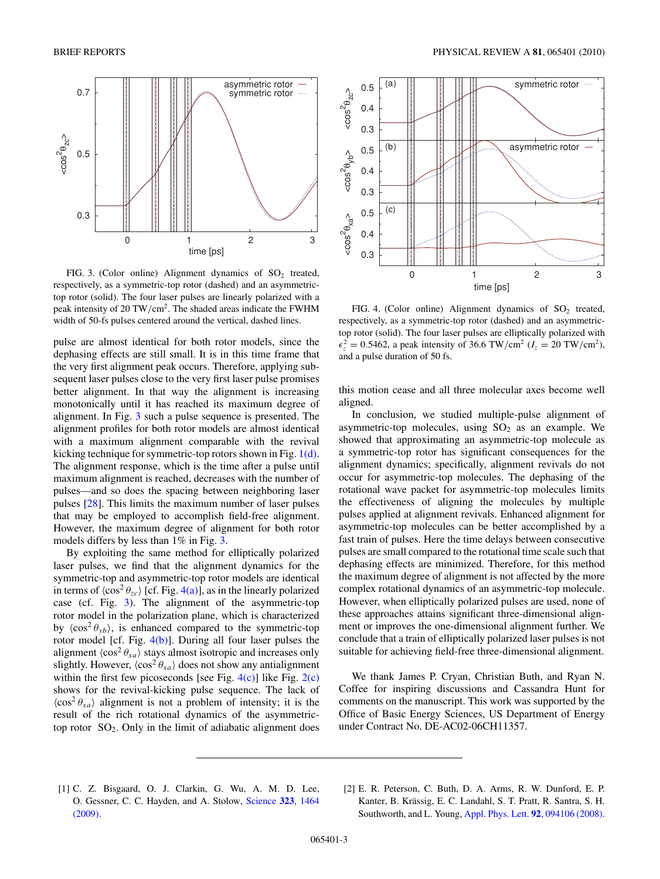<span id="page-2-0"></span>

FIG. 3. (Color online) Alignment dynamics of  $SO_2$  treated, respectively, as a symmetric-top rotor (dashed) and an asymmetrictop rotor (solid). The four laser pulses are linearly polarized with a peak intensity of 20 TW*/*cm2. The shaded areas indicate the FWHM width of 50-fs pulses centered around the vertical, dashed lines.

pulse are almost identical for both rotor models, since the dephasing effects are still small. It is in this time frame that the very first alignment peak occurs. Therefore, applying subsequent laser pulses close to the very first laser pulse promises better alignment. In that way the alignment is increasing monotonically until it has reached its maximum degree of alignment. In Fig. 3 such a pulse sequence is presented. The alignment profiles for both rotor models are almost identical with a maximum alignment comparable with the revival kicking technique for symmetric-top rotors shown in Fig. [1\(d\).](#page-1-0) The alignment response, which is the time after a pulse until maximum alignment is reached, decreases with the number of pulses—and so does the spacing between neighboring laser pulses [\[28\]](#page-3-0). This limits the maximum number of laser pulses that may be employed to accomplish field-free alignment. However, the maximum degree of alignment for both rotor models differs by less than 1% in Fig. 3.

By exploiting the same method for elliptically polarized laser pulses, we find that the alignment dynamics for the symmetric-top and asymmetric-top rotor models are identical in terms of  $\langle \cos^2 \theta_{ze} \rangle$  [cf. Fig. 4(a)], as in the linearly polarized case (cf. Fig. 3). The alignment of the asymmetric-top rotor model in the polarization plane, which is characterized by  $\langle \cos^2 \theta_{yb} \rangle$ , is enhanced compared to the symmetric-top rotor model [cf. Fig.  $4(b)$ ]. During all four laser pulses the alignment  $\langle \cos^2 \theta_{xa} \rangle$  stays almost isotropic and increases only slightly. However,  $\langle \cos^2 \theta_{xa} \rangle$  does not show any antialignment within the first few picoseconds [see Fig.  $4(c)$ ] like Fig.  $2(c)$ shows for the revival-kicking pulse sequence. The lack of  $\langle \cos^2 \theta_{xa} \rangle$  alignment is not a problem of intensity; it is the result of the rich rotational dynamics of the asymmetrictop rotor  $SO_2$ . Only in the limit of adiabatic alignment does



FIG. 4. (Color online) Alignment dynamics of  $SO_2$  treated, respectively, as a symmetric-top rotor (dashed) and an asymmetrictop rotor (solid). The four laser pulses are elliptically polarized with  $\epsilon_z^2 = 0.5462$ , a peak intensity of 36.6 TW/cm<sup>2</sup> ( $I_z = 20$  TW/cm<sup>2</sup>), and a pulse duration of 50 fs.

this motion cease and all three molecular axes become well aligned.

In conclusion, we studied multiple-pulse alignment of asymmetric-top molecules, using  $SO<sub>2</sub>$  as an example. We showed that approximating an asymmetric-top molecule as a symmetric-top rotor has significant consequences for the alignment dynamics; specifically, alignment revivals do not occur for asymmetric-top molecules. The dephasing of the rotational wave packet for asymmetric-top molecules limits the effectiveness of aligning the molecules by multiple pulses applied at alignment revivals. Enhanced alignment for asymmetric-top molecules can be better accomplished by a fast train of pulses. Here the time delays between consecutive pulses are small compared to the rotational time scale such that dephasing effects are minimized. Therefore, for this method the maximum degree of alignment is not affected by the more complex rotational dynamics of an asymmetric-top molecule. However, when elliptically polarized pulses are used, none of these approaches attains significant three-dimensional alignment or improves the one-dimensional alignment further. We conclude that a train of elliptically polarized laser pulses is not suitable for achieving field-free three-dimensional alignment.

We thank James P. Cryan, Christian Buth, and Ryan N. Coffee for inspiring discussions and Cassandra Hunt for comments on the manuscript. This work was supported by the Office of Basic Energy Sciences, US Department of Energy under Contract No. DE-AC02-06CH11357.

- [1] C. Z. Bisgaard, O. J. Clarkin, G. Wu, A. M. D. Lee, O. Gessner, C. C. Hayden, and A. Stolow, [Science](http://dx.doi.org/10.1126/science.1169183) **323**, 1464 [\(2009\).](http://dx.doi.org/10.1126/science.1169183)
- [2] E. R. Peterson, C. Buth, D. A. Arms, R. W. Dunford, E. P. Kanter, B. Krässig, E. C. Landahl, S. T. Pratt, R. Santra, S. H. Southworth, and L. Young, [Appl. Phys. Lett.](http://dx.doi.org/10.1063/1.2890846) **92**, 094106 (2008).